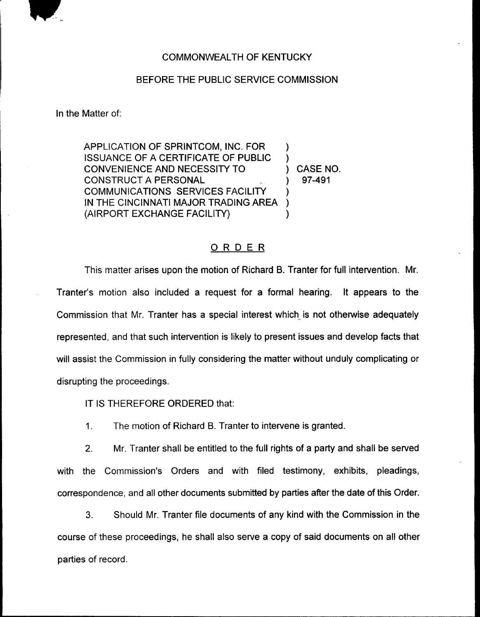

## COMMONWEALTH OF KENTUCKY

## BEFORE THE PUBLIC SERVICE COMMISSION

In the Matter of:

APPLICATION OF SPRINTCOM, INC. FOR ) ISSUANCE OF A CERTIFICATE OF PUBLIC ) CONVENIENCE AND NECESSITY TO  $(2.0153 \times 10^{-3})$  CASE NO. **CONSTRUCT A PERSONAL** COMMUNICATIONS SERVICES FACILITY IN THE CINCINNATI MAJOR TRADING AREA ) (AIRPORT EXCHANGE FACILITY) (

## ORDER

This matter arises upon the motion of Richard B. Tranter for full intervention. Mr. Tranter's motion also included a request for a formal hearing. It appears to the Commission that Mr. Tranter has a special interest which is not otherwise adequately represented, and that such intervention is likely to present issues and develop facts that will assist the Commission in fully considering the matter without unduly complicating or disrupting the proceedings.

IT IS THEREFORE ORDERED that:

 $\mathbf{1}$ . The motion of Richard B. Tranter to intervene is granted.

2. Mr. Tranter shall be entitled to the full rights of a party and shall be served with the Commission's Orders and with filed testimony, exhibits, pleadings, correspondence, and all other documents submitted by parties after the date of this Order.

3. Should Mr. Tranter file documents of any kind with the Commission in the course of these proceedings, he shall also serve a copy of said documents on all other parties of record.